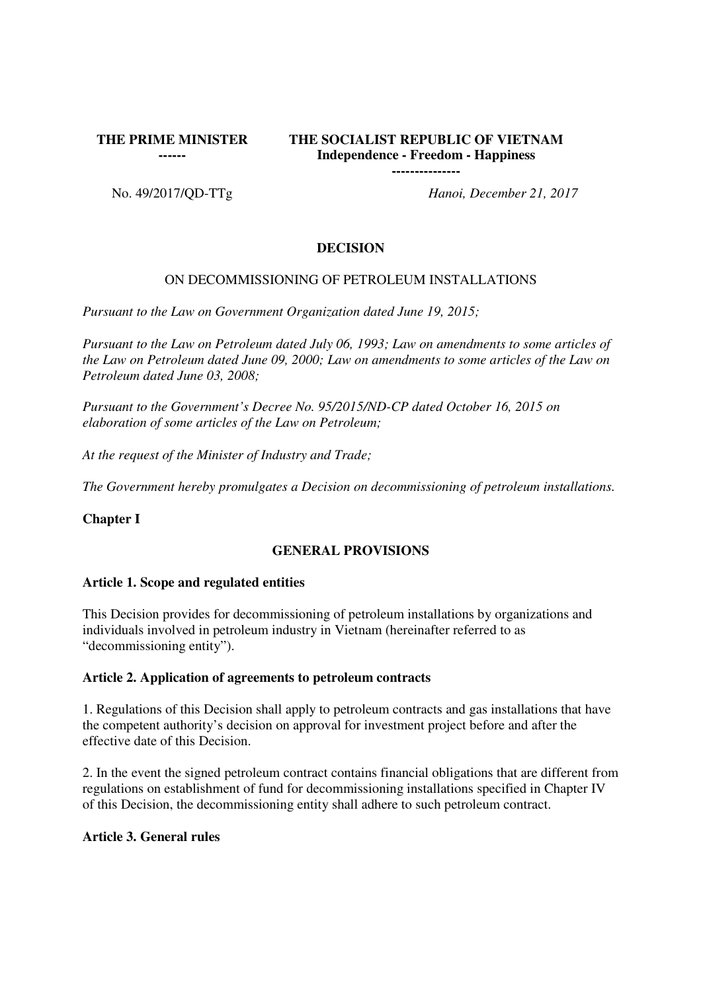**THE PRIME MINISTER** 

**------**

# **THE SOCIALIST REPUBLIC OF VIETNAM Independence - Freedom - Happiness**

**---------------**

No. 49/2017/QD-TTg *Hanoi, December 21, 2017*

# **DECISION**

# ON DECOMMISSIONING OF PETROLEUM INSTALLATIONS

*Pursuant to the Law on Government Organization dated June 19, 2015;*

*Pursuant to the Law on Petroleum dated July 06, 1993; Law on amendments to some articles of the Law on Petroleum dated June 09, 2000; Law on amendments to some articles of the Law on Petroleum dated June 03, 2008;*

*Pursuant to the Government's Decree No. 95/2015/ND-CP dated October 16, 2015 on elaboration of some articles of the Law on Petroleum;*

*At the request of the Minister of Industry and Trade;*

*The Government hereby promulgates a Decision on decommissioning of petroleum installations.*

**Chapter I**

## **GENERAL PROVISIONS**

## **Article 1. Scope and regulated entities**

This Decision provides for decommissioning of petroleum installations by organizations and individuals involved in petroleum industry in Vietnam (hereinafter referred to as "decommissioning entity").

## **Article 2. Application of agreements to petroleum contracts**

1. Regulations of this Decision shall apply to petroleum contracts and gas installations that have the competent authority's decision on approval for investment project before and after the effective date of this Decision.

2. In the event the signed petroleum contract contains financial obligations that are different from regulations on establishment of fund for decommissioning installations specified in Chapter IV of this Decision, the decommissioning entity shall adhere to such petroleum contract.

## **Article 3. General rules**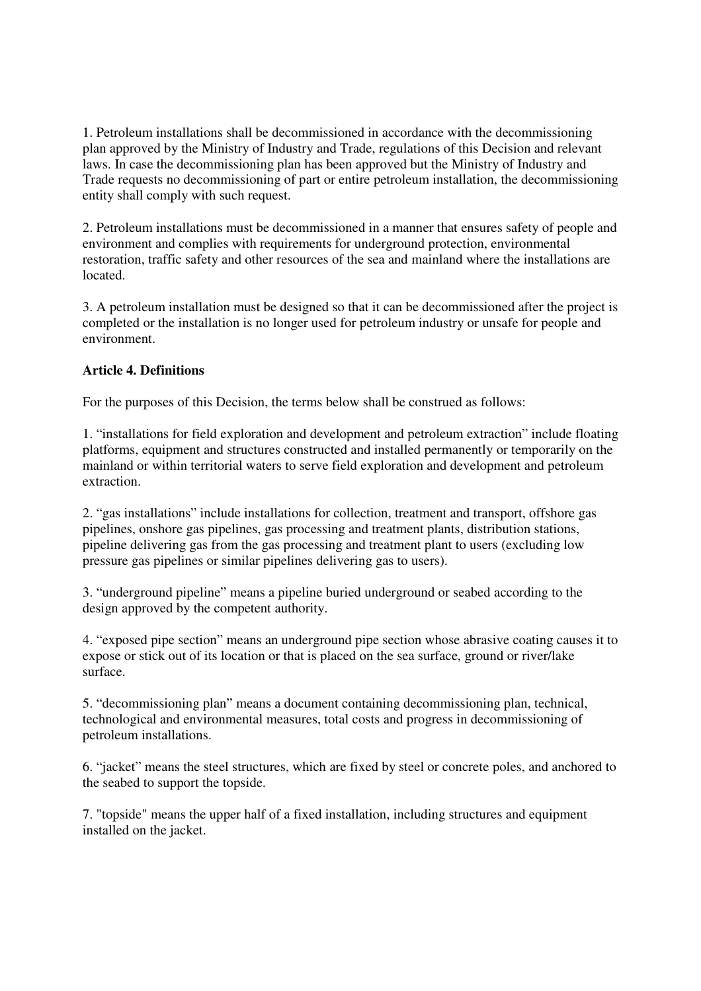1. Petroleum installations shall be decommissioned in accordance with the decommissioning plan approved by the Ministry of Industry and Trade, regulations of this Decision and relevant laws. In case the decommissioning plan has been approved but the Ministry of Industry and Trade requests no decommissioning of part or entire petroleum installation, the decommissioning entity shall comply with such request.

2. Petroleum installations must be decommissioned in a manner that ensures safety of people and environment and complies with requirements for underground protection, environmental restoration, traffic safety and other resources of the sea and mainland where the installations are located.

3. A petroleum installation must be designed so that it can be decommissioned after the project is completed or the installation is no longer used for petroleum industry or unsafe for people and environment.

# **Article 4. Definitions**

For the purposes of this Decision, the terms below shall be construed as follows:

1. "installations for field exploration and development and petroleum extraction" include floating platforms, equipment and structures constructed and installed permanently or temporarily on the mainland or within territorial waters to serve field exploration and development and petroleum extraction.

2. "gas installations" include installations for collection, treatment and transport, offshore gas pipelines, onshore gas pipelines, gas processing and treatment plants, distribution stations, pipeline delivering gas from the gas processing and treatment plant to users (excluding low pressure gas pipelines or similar pipelines delivering gas to users).

3. "underground pipeline" means a pipeline buried underground or seabed according to the design approved by the competent authority.

4. "exposed pipe section" means an underground pipe section whose abrasive coating causes it to expose or stick out of its location or that is placed on the sea surface, ground or river/lake surface.

5. "decommissioning plan" means a document containing decommissioning plan, technical, technological and environmental measures, total costs and progress in decommissioning of petroleum installations.

6. "jacket" means the steel structures, which are fixed by steel or concrete poles, and anchored to the seabed to support the topside.

7. "topside" means the upper half of a fixed installation, including structures and equipment installed on the jacket.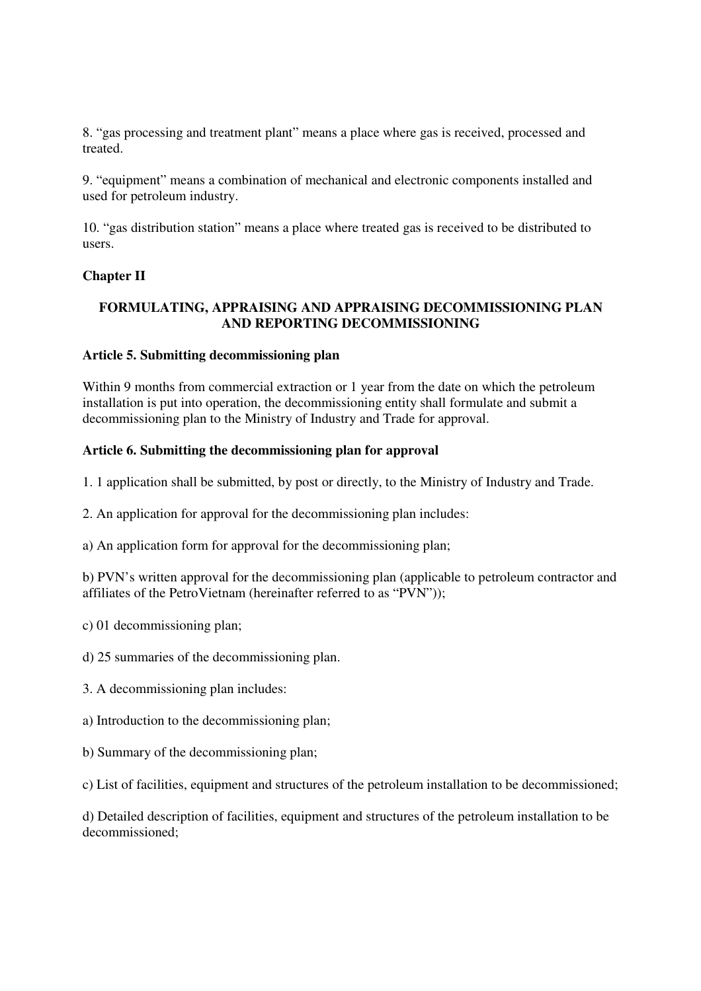8. "gas processing and treatment plant" means a place where gas is received, processed and treated.

9. "equipment" means a combination of mechanical and electronic components installed and used for petroleum industry.

10. "gas distribution station" means a place where treated gas is received to be distributed to users.

# **Chapter II**

# **FORMULATING, APPRAISING AND APPRAISING DECOMMISSIONING PLAN AND REPORTING DECOMMISSIONING**

### **Article 5. Submitting decommissioning plan**

Within 9 months from commercial extraction or 1 year from the date on which the petroleum installation is put into operation, the decommissioning entity shall formulate and submit a decommissioning plan to the Ministry of Industry and Trade for approval.

## **Article 6. Submitting the decommissioning plan for approval**

1. 1 application shall be submitted, by post or directly, to the Ministry of Industry and Trade.

2. An application for approval for the decommissioning plan includes:

a) An application form for approval for the decommissioning plan;

b) PVN's written approval for the decommissioning plan (applicable to petroleum contractor and affiliates of the PetroVietnam (hereinafter referred to as "PVN"));

c) 01 decommissioning plan;

d) 25 summaries of the decommissioning plan.

- 3. A decommissioning plan includes:
- a) Introduction to the decommissioning plan;
- b) Summary of the decommissioning plan;

c) List of facilities, equipment and structures of the petroleum installation to be decommissioned;

d) Detailed description of facilities, equipment and structures of the petroleum installation to be decommissioned;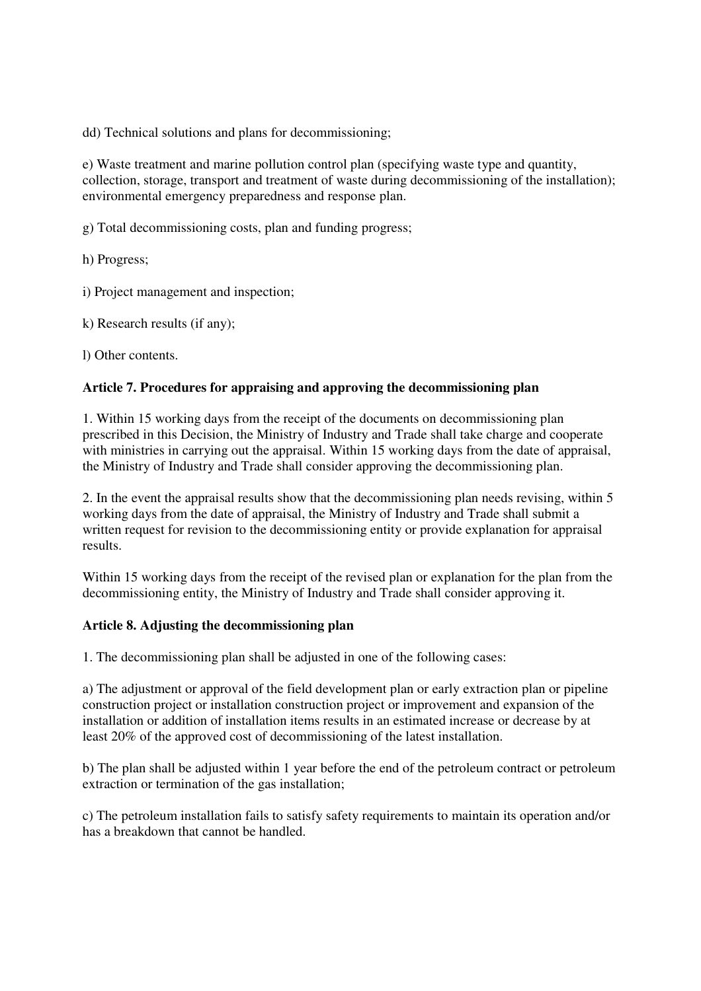dd) Technical solutions and plans for decommissioning;

e) Waste treatment and marine pollution control plan (specifying waste type and quantity, collection, storage, transport and treatment of waste during decommissioning of the installation); environmental emergency preparedness and response plan.

g) Total decommissioning costs, plan and funding progress;

h) Progress;

i) Project management and inspection;

k) Research results (if any);

l) Other contents.

## **Article 7. Procedures for appraising and approving the decommissioning plan**

1. Within 15 working days from the receipt of the documents on decommissioning plan prescribed in this Decision, the Ministry of Industry and Trade shall take charge and cooperate with ministries in carrying out the appraisal. Within 15 working days from the date of appraisal, the Ministry of Industry and Trade shall consider approving the decommissioning plan.

2. In the event the appraisal results show that the decommissioning plan needs revising, within 5 working days from the date of appraisal, the Ministry of Industry and Trade shall submit a written request for revision to the decommissioning entity or provide explanation for appraisal results.

Within 15 working days from the receipt of the revised plan or explanation for the plan from the decommissioning entity, the Ministry of Industry and Trade shall consider approving it.

#### **Article 8. Adjusting the decommissioning plan**

1. The decommissioning plan shall be adjusted in one of the following cases:

a) The adjustment or approval of the field development plan or early extraction plan or pipeline construction project or installation construction project or improvement and expansion of the installation or addition of installation items results in an estimated increase or decrease by at least 20% of the approved cost of decommissioning of the latest installation.

b) The plan shall be adjusted within 1 year before the end of the petroleum contract or petroleum extraction or termination of the gas installation;

c) The petroleum installation fails to satisfy safety requirements to maintain its operation and/or has a breakdown that cannot be handled.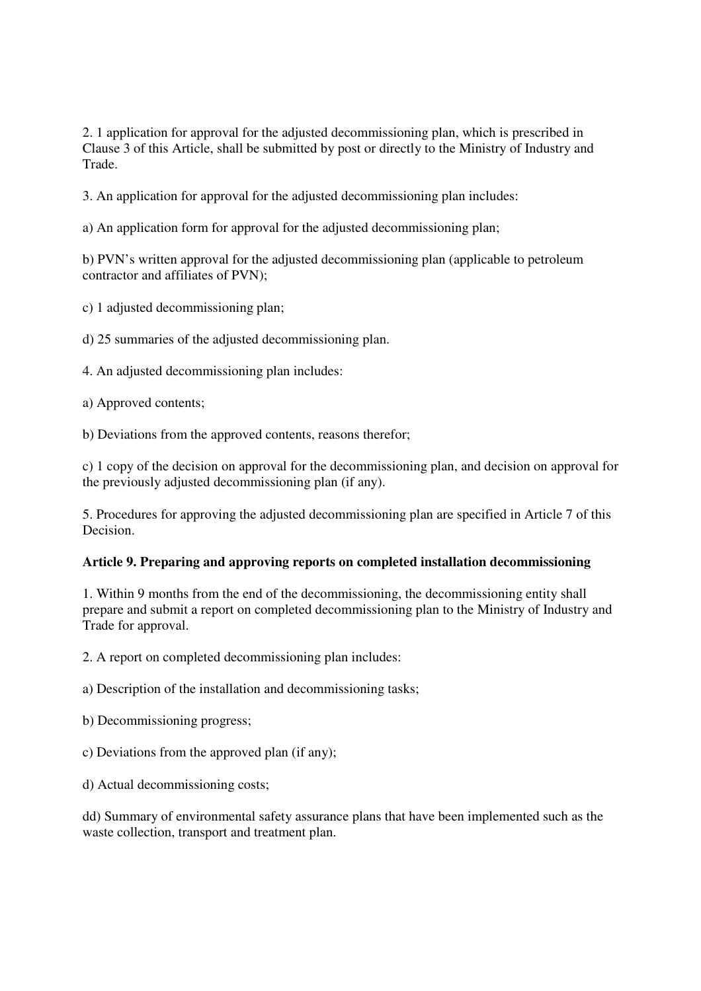2. 1 application for approval for the adjusted decommissioning plan, which is prescribed in Clause 3 of this Article, shall be submitted by post or directly to the Ministry of Industry and Trade.

3. An application for approval for the adjusted decommissioning plan includes:

a) An application form for approval for the adjusted decommissioning plan;

b) PVN's written approval for the adjusted decommissioning plan (applicable to petroleum contractor and affiliates of PVN);

c) 1 adjusted decommissioning plan;

d) 25 summaries of the adjusted decommissioning plan.

4. An adjusted decommissioning plan includes:

a) Approved contents;

b) Deviations from the approved contents, reasons therefor;

c) 1 copy of the decision on approval for the decommissioning plan, and decision on approval for the previously adjusted decommissioning plan (if any).

5. Procedures for approving the adjusted decommissioning plan are specified in Article 7 of this Decision.

## **Article 9. Preparing and approving reports on completed installation decommissioning**

1. Within 9 months from the end of the decommissioning, the decommissioning entity shall prepare and submit a report on completed decommissioning plan to the Ministry of Industry and Trade for approval.

2. A report on completed decommissioning plan includes:

a) Description of the installation and decommissioning tasks;

b) Decommissioning progress;

c) Deviations from the approved plan (if any);

d) Actual decommissioning costs;

dd) Summary of environmental safety assurance plans that have been implemented such as the waste collection, transport and treatment plan.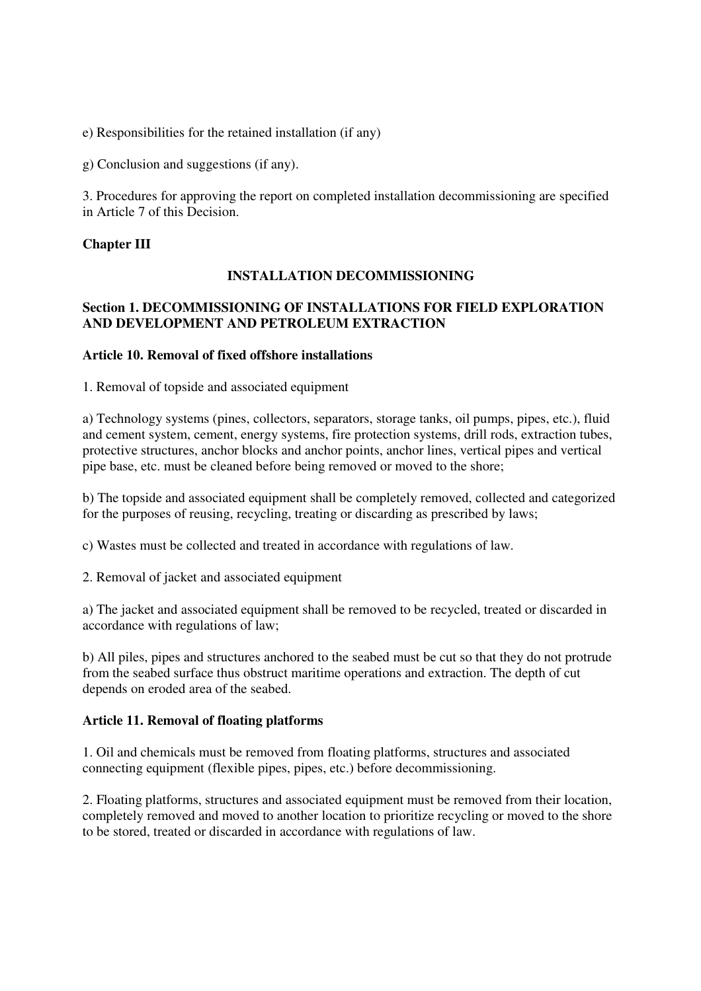e) Responsibilities for the retained installation (if any)

g) Conclusion and suggestions (if any).

3. Procedures for approving the report on completed installation decommissioning are specified in Article 7 of this Decision.

### **Chapter III**

## **INSTALLATION DECOMMISSIONING**

## **Section 1. DECOMMISSIONING OF INSTALLATIONS FOR FIELD EXPLORATION AND DEVELOPMENT AND PETROLEUM EXTRACTION**

### **Article 10. Removal of fixed offshore installations**

1. Removal of topside and associated equipment

a) Technology systems (pines, collectors, separators, storage tanks, oil pumps, pipes, etc.), fluid and cement system, cement, energy systems, fire protection systems, drill rods, extraction tubes, protective structures, anchor blocks and anchor points, anchor lines, vertical pipes and vertical pipe base, etc. must be cleaned before being removed or moved to the shore;

b) The topside and associated equipment shall be completely removed, collected and categorized for the purposes of reusing, recycling, treating or discarding as prescribed by laws;

c) Wastes must be collected and treated in accordance with regulations of law.

2. Removal of jacket and associated equipment

a) The jacket and associated equipment shall be removed to be recycled, treated or discarded in accordance with regulations of law;

b) All piles, pipes and structures anchored to the seabed must be cut so that they do not protrude from the seabed surface thus obstruct maritime operations and extraction. The depth of cut depends on eroded area of the seabed.

#### **Article 11. Removal of floating platforms**

1. Oil and chemicals must be removed from floating platforms, structures and associated connecting equipment (flexible pipes, pipes, etc.) before decommissioning.

2. Floating platforms, structures and associated equipment must be removed from their location, completely removed and moved to another location to prioritize recycling or moved to the shore to be stored, treated or discarded in accordance with regulations of law.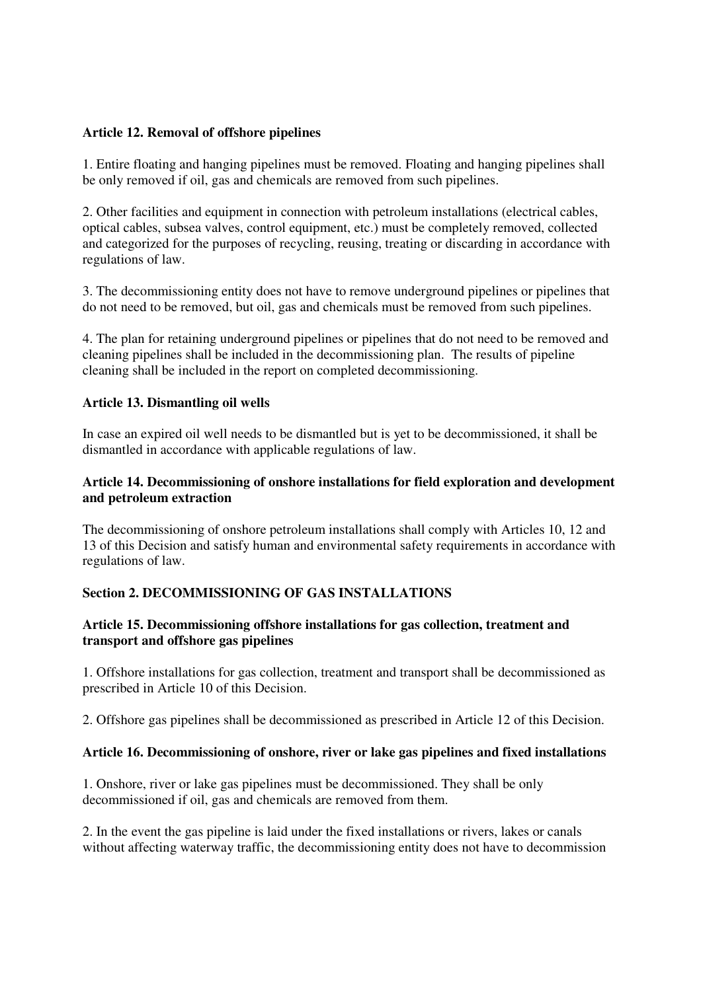# **Article 12. Removal of offshore pipelines**

1. Entire floating and hanging pipelines must be removed. Floating and hanging pipelines shall be only removed if oil, gas and chemicals are removed from such pipelines.

2. Other facilities and equipment in connection with petroleum installations (electrical cables, optical cables, subsea valves, control equipment, etc.) must be completely removed, collected and categorized for the purposes of recycling, reusing, treating or discarding in accordance with regulations of law.

3. The decommissioning entity does not have to remove underground pipelines or pipelines that do not need to be removed, but oil, gas and chemicals must be removed from such pipelines.

4. The plan for retaining underground pipelines or pipelines that do not need to be removed and cleaning pipelines shall be included in the decommissioning plan. The results of pipeline cleaning shall be included in the report on completed decommissioning.

### **Article 13. Dismantling oil wells**

In case an expired oil well needs to be dismantled but is yet to be decommissioned, it shall be dismantled in accordance with applicable regulations of law.

### **Article 14. Decommissioning of onshore installations for field exploration and development and petroleum extraction**

The decommissioning of onshore petroleum installations shall comply with Articles 10, 12 and 13 of this Decision and satisfy human and environmental safety requirements in accordance with regulations of law.

## **Section 2. DECOMMISSIONING OF GAS INSTALLATIONS**

## **Article 15. Decommissioning offshore installations for gas collection, treatment and transport and offshore gas pipelines**

1. Offshore installations for gas collection, treatment and transport shall be decommissioned as prescribed in Article 10 of this Decision.

2. Offshore gas pipelines shall be decommissioned as prescribed in Article 12 of this Decision.

## **Article 16. Decommissioning of onshore, river or lake gas pipelines and fixed installations**

1. Onshore, river or lake gas pipelines must be decommissioned. They shall be only decommissioned if oil, gas and chemicals are removed from them.

2. In the event the gas pipeline is laid under the fixed installations or rivers, lakes or canals without affecting waterway traffic, the decommissioning entity does not have to decommission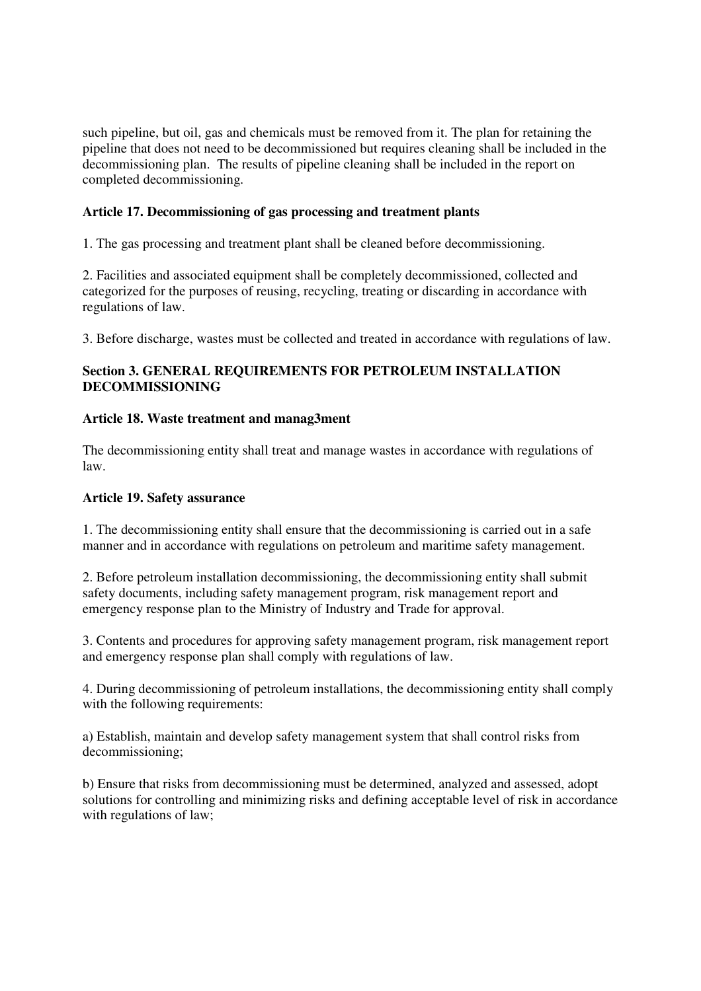such pipeline, but oil, gas and chemicals must be removed from it. The plan for retaining the pipeline that does not need to be decommissioned but requires cleaning shall be included in the decommissioning plan. The results of pipeline cleaning shall be included in the report on completed decommissioning.

## **Article 17. Decommissioning of gas processing and treatment plants**

1. The gas processing and treatment plant shall be cleaned before decommissioning.

2. Facilities and associated equipment shall be completely decommissioned, collected and categorized for the purposes of reusing, recycling, treating or discarding in accordance with regulations of law.

3. Before discharge, wastes must be collected and treated in accordance with regulations of law.

# **Section 3. GENERAL REQUIREMENTS FOR PETROLEUM INSTALLATION DECOMMISSIONING**

# **Article 18. Waste treatment and manag3ment**

The decommissioning entity shall treat and manage wastes in accordance with regulations of law.

## **Article 19. Safety assurance**

1. The decommissioning entity shall ensure that the decommissioning is carried out in a safe manner and in accordance with regulations on petroleum and maritime safety management.

2. Before petroleum installation decommissioning, the decommissioning entity shall submit safety documents, including safety management program, risk management report and emergency response plan to the Ministry of Industry and Trade for approval.

3. Contents and procedures for approving safety management program, risk management report and emergency response plan shall comply with regulations of law.

4. During decommissioning of petroleum installations, the decommissioning entity shall comply with the following requirements:

a) Establish, maintain and develop safety management system that shall control risks from decommissioning;

b) Ensure that risks from decommissioning must be determined, analyzed and assessed, adopt solutions for controlling and minimizing risks and defining acceptable level of risk in accordance with regulations of law;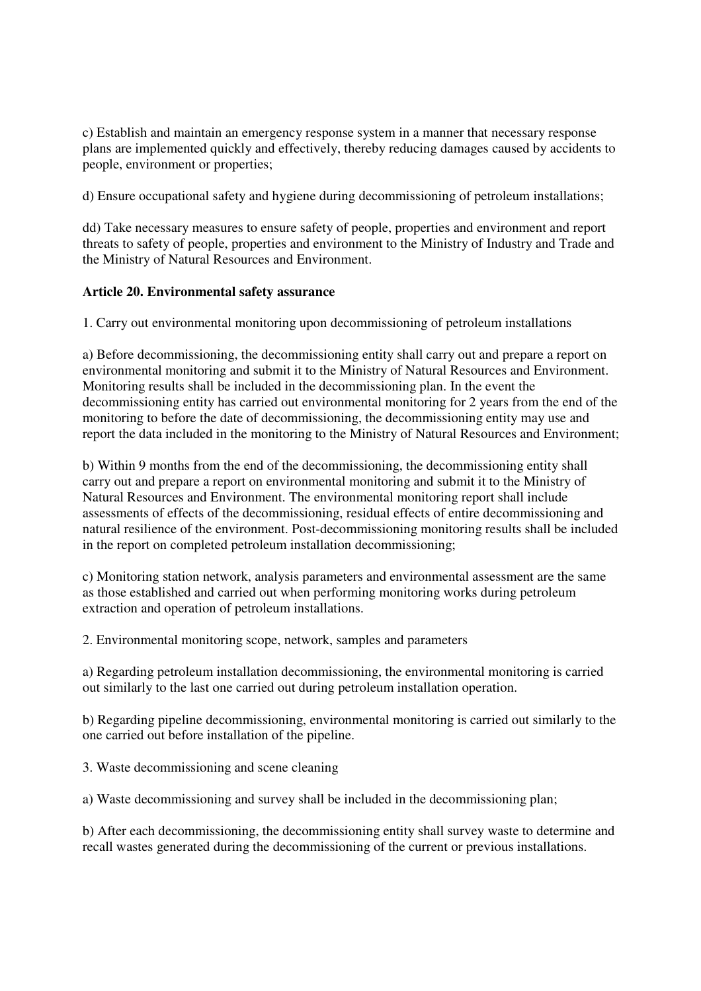c) Establish and maintain an emergency response system in a manner that necessary response plans are implemented quickly and effectively, thereby reducing damages caused by accidents to people, environment or properties;

d) Ensure occupational safety and hygiene during decommissioning of petroleum installations;

dd) Take necessary measures to ensure safety of people, properties and environment and report threats to safety of people, properties and environment to the Ministry of Industry and Trade and the Ministry of Natural Resources and Environment.

## **Article 20. Environmental safety assurance**

1. Carry out environmental monitoring upon decommissioning of petroleum installations

a) Before decommissioning, the decommissioning entity shall carry out and prepare a report on environmental monitoring and submit it to the Ministry of Natural Resources and Environment. Monitoring results shall be included in the decommissioning plan. In the event the decommissioning entity has carried out environmental monitoring for 2 years from the end of the monitoring to before the date of decommissioning, the decommissioning entity may use and report the data included in the monitoring to the Ministry of Natural Resources and Environment;

b) Within 9 months from the end of the decommissioning, the decommissioning entity shall carry out and prepare a report on environmental monitoring and submit it to the Ministry of Natural Resources and Environment. The environmental monitoring report shall include assessments of effects of the decommissioning, residual effects of entire decommissioning and natural resilience of the environment. Post-decommissioning monitoring results shall be included in the report on completed petroleum installation decommissioning;

c) Monitoring station network, analysis parameters and environmental assessment are the same as those established and carried out when performing monitoring works during petroleum extraction and operation of petroleum installations.

2. Environmental monitoring scope, network, samples and parameters

a) Regarding petroleum installation decommissioning, the environmental monitoring is carried out similarly to the last one carried out during petroleum installation operation.

b) Regarding pipeline decommissioning, environmental monitoring is carried out similarly to the one carried out before installation of the pipeline.

3. Waste decommissioning and scene cleaning

a) Waste decommissioning and survey shall be included in the decommissioning plan;

b) After each decommissioning, the decommissioning entity shall survey waste to determine and recall wastes generated during the decommissioning of the current or previous installations.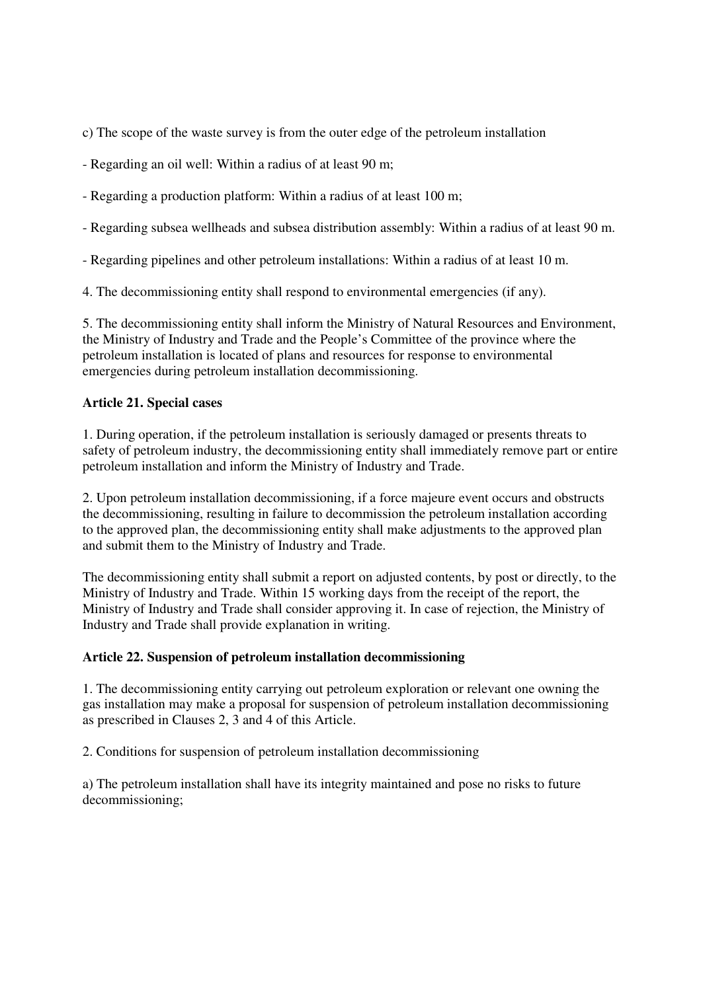c) The scope of the waste survey is from the outer edge of the petroleum installation

- Regarding an oil well: Within a radius of at least 90 m;
- Regarding a production platform: Within a radius of at least 100 m;
- Regarding subsea wellheads and subsea distribution assembly: Within a radius of at least 90 m.
- Regarding pipelines and other petroleum installations: Within a radius of at least 10 m.
- 4. The decommissioning entity shall respond to environmental emergencies (if any).

5. The decommissioning entity shall inform the Ministry of Natural Resources and Environment, the Ministry of Industry and Trade and the People's Committee of the province where the petroleum installation is located of plans and resources for response to environmental emergencies during petroleum installation decommissioning.

## **Article 21. Special cases**

1. During operation, if the petroleum installation is seriously damaged or presents threats to safety of petroleum industry, the decommissioning entity shall immediately remove part or entire petroleum installation and inform the Ministry of Industry and Trade.

2. Upon petroleum installation decommissioning, if a force majeure event occurs and obstructs the decommissioning, resulting in failure to decommission the petroleum installation according to the approved plan, the decommissioning entity shall make adjustments to the approved plan and submit them to the Ministry of Industry and Trade.

The decommissioning entity shall submit a report on adjusted contents, by post or directly, to the Ministry of Industry and Trade. Within 15 working days from the receipt of the report, the Ministry of Industry and Trade shall consider approving it. In case of rejection, the Ministry of Industry and Trade shall provide explanation in writing.

## **Article 22. Suspension of petroleum installation decommissioning**

1. The decommissioning entity carrying out petroleum exploration or relevant one owning the gas installation may make a proposal for suspension of petroleum installation decommissioning as prescribed in Clauses 2, 3 and 4 of this Article.

2. Conditions for suspension of petroleum installation decommissioning

a) The petroleum installation shall have its integrity maintained and pose no risks to future decommissioning;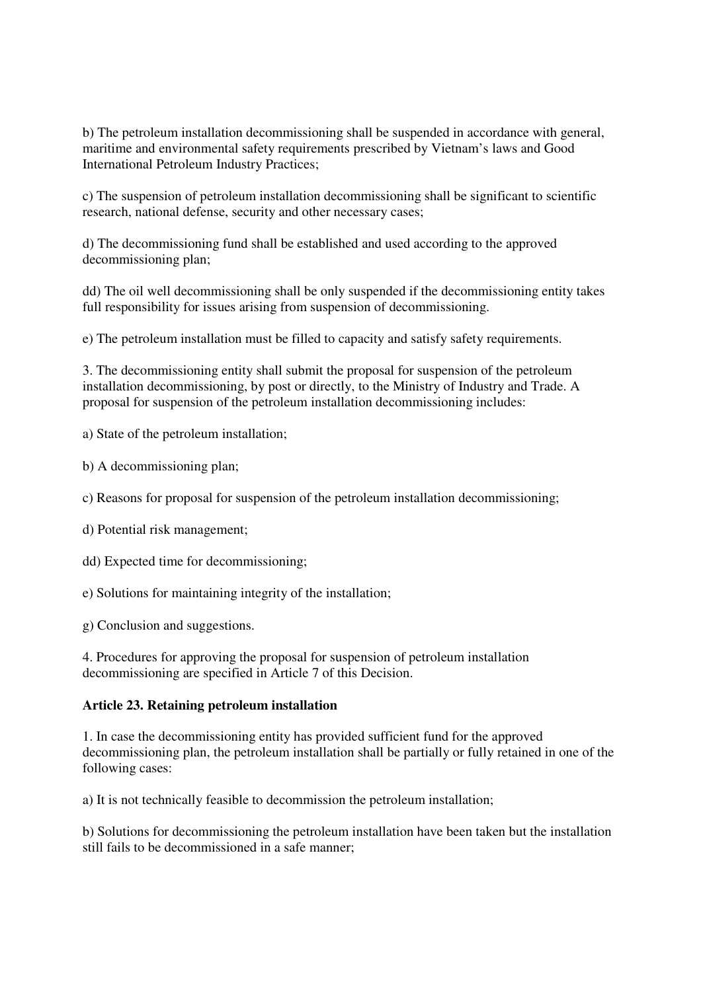b) The petroleum installation decommissioning shall be suspended in accordance with general, maritime and environmental safety requirements prescribed by Vietnam's laws and Good International Petroleum Industry Practices;

c) The suspension of petroleum installation decommissioning shall be significant to scientific research, national defense, security and other necessary cases;

d) The decommissioning fund shall be established and used according to the approved decommissioning plan;

dd) The oil well decommissioning shall be only suspended if the decommissioning entity takes full responsibility for issues arising from suspension of decommissioning.

e) The petroleum installation must be filled to capacity and satisfy safety requirements.

3. The decommissioning entity shall submit the proposal for suspension of the petroleum installation decommissioning, by post or directly, to the Ministry of Industry and Trade. A proposal for suspension of the petroleum installation decommissioning includes:

a) State of the petroleum installation;

- b) A decommissioning plan;
- c) Reasons for proposal for suspension of the petroleum installation decommissioning;
- d) Potential risk management;
- dd) Expected time for decommissioning;
- e) Solutions for maintaining integrity of the installation;

g) Conclusion and suggestions.

4. Procedures for approving the proposal for suspension of petroleum installation decommissioning are specified in Article 7 of this Decision.

#### **Article 23. Retaining petroleum installation**

1. In case the decommissioning entity has provided sufficient fund for the approved decommissioning plan, the petroleum installation shall be partially or fully retained in one of the following cases:

a) It is not technically feasible to decommission the petroleum installation;

b) Solutions for decommissioning the petroleum installation have been taken but the installation still fails to be decommissioned in a safe manner;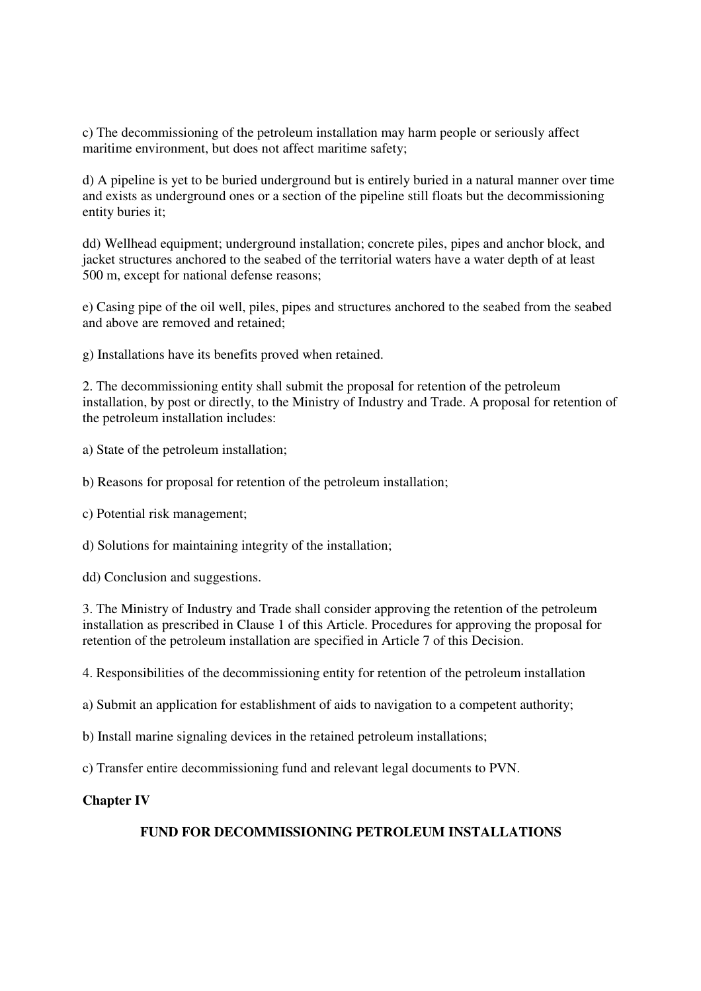c) The decommissioning of the petroleum installation may harm people or seriously affect maritime environment, but does not affect maritime safety;

d) A pipeline is yet to be buried underground but is entirely buried in a natural manner over time and exists as underground ones or a section of the pipeline still floats but the decommissioning entity buries it;

dd) Wellhead equipment; underground installation; concrete piles, pipes and anchor block, and jacket structures anchored to the seabed of the territorial waters have a water depth of at least 500 m, except for national defense reasons;

e) Casing pipe of the oil well, piles, pipes and structures anchored to the seabed from the seabed and above are removed and retained;

g) Installations have its benefits proved when retained.

2. The decommissioning entity shall submit the proposal for retention of the petroleum installation, by post or directly, to the Ministry of Industry and Trade. A proposal for retention of the petroleum installation includes:

a) State of the petroleum installation;

b) Reasons for proposal for retention of the petroleum installation;

c) Potential risk management;

d) Solutions for maintaining integrity of the installation;

dd) Conclusion and suggestions.

3. The Ministry of Industry and Trade shall consider approving the retention of the petroleum installation as prescribed in Clause 1 of this Article. Procedures for approving the proposal for retention of the petroleum installation are specified in Article 7 of this Decision.

4. Responsibilities of the decommissioning entity for retention of the petroleum installation

a) Submit an application for establishment of aids to navigation to a competent authority;

b) Install marine signaling devices in the retained petroleum installations;

c) Transfer entire decommissioning fund and relevant legal documents to PVN.

### **Chapter IV**

# **FUND FOR DECOMMISSIONING PETROLEUM INSTALLATIONS**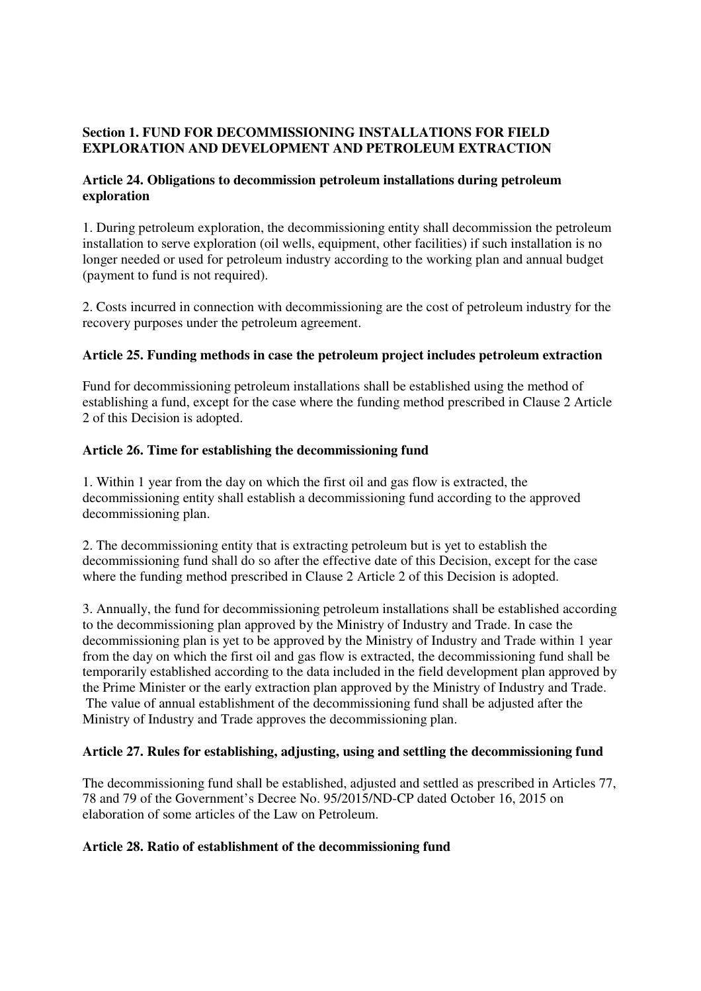# **Section 1. FUND FOR DECOMMISSIONING INSTALLATIONS FOR FIELD EXPLORATION AND DEVELOPMENT AND PETROLEUM EXTRACTION**

# **Article 24. Obligations to decommission petroleum installations during petroleum exploration**

1. During petroleum exploration, the decommissioning entity shall decommission the petroleum installation to serve exploration (oil wells, equipment, other facilities) if such installation is no longer needed or used for petroleum industry according to the working plan and annual budget (payment to fund is not required).

2. Costs incurred in connection with decommissioning are the cost of petroleum industry for the recovery purposes under the petroleum agreement.

# **Article 25. Funding methods in case the petroleum project includes petroleum extraction**

Fund for decommissioning petroleum installations shall be established using the method of establishing a fund, except for the case where the funding method prescribed in Clause 2 Article 2 of this Decision is adopted.

# **Article 26. Time for establishing the decommissioning fund**

1. Within 1 year from the day on which the first oil and gas flow is extracted, the decommissioning entity shall establish a decommissioning fund according to the approved decommissioning plan.

2. The decommissioning entity that is extracting petroleum but is yet to establish the decommissioning fund shall do so after the effective date of this Decision, except for the case where the funding method prescribed in Clause 2 Article 2 of this Decision is adopted.

3. Annually, the fund for decommissioning petroleum installations shall be established according to the decommissioning plan approved by the Ministry of Industry and Trade. In case the decommissioning plan is yet to be approved by the Ministry of Industry and Trade within 1 year from the day on which the first oil and gas flow is extracted, the decommissioning fund shall be temporarily established according to the data included in the field development plan approved by the Prime Minister or the early extraction plan approved by the Ministry of Industry and Trade. The value of annual establishment of the decommissioning fund shall be adjusted after the Ministry of Industry and Trade approves the decommissioning plan.

## **Article 27. Rules for establishing, adjusting, using and settling the decommissioning fund**

The decommissioning fund shall be established, adjusted and settled as prescribed in Articles 77, 78 and 79 of the Government's Decree No. 95/2015/ND-CP dated October 16, 2015 on elaboration of some articles of the Law on Petroleum.

## **Article 28. Ratio of establishment of the decommissioning fund**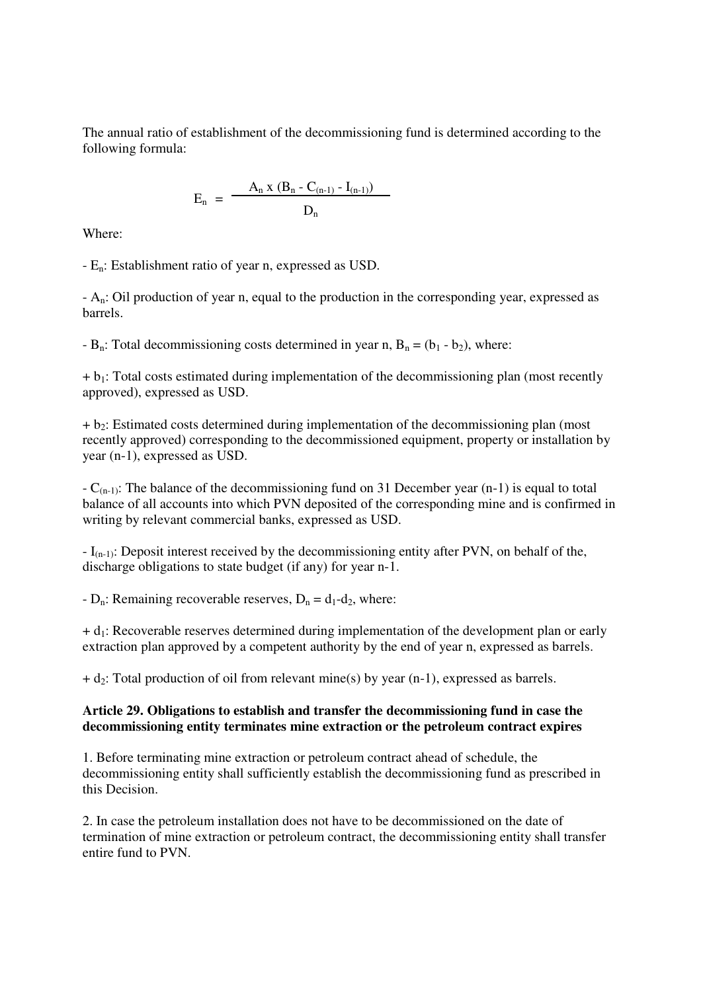The annual ratio of establishment of the decommissioning fund is determined according to the following formula:

$$
E_n = \frac{A_n x (B_n - C_{(n-1)} - I_{(n-1)})}{D_n}
$$

Where:

- En: Establishment ratio of year n, expressed as USD.

- An: Oil production of year n, equal to the production in the corresponding year, expressed as barrels.

 $-B_n$ : Total decommissioning costs determined in year n,  $B_n = (b_1 - b_2)$ , where:

 $+ b_1$ : Total costs estimated during implementation of the decommissioning plan (most recently approved), expressed as USD.

 $+ b_2$ : Estimated costs determined during implementation of the decommissioning plan (most recently approved) corresponding to the decommissioned equipment, property or installation by year (n-1), expressed as USD.

 $-C_{(n-1)}$ : The balance of the decommissioning fund on 31 December year (n-1) is equal to total balance of all accounts into which PVN deposited of the corresponding mine and is confirmed in writing by relevant commercial banks, expressed as USD.

 $-I_{(n-1)}$ : Deposit interest received by the decommissioning entity after PVN, on behalf of the, discharge obligations to state budget (if any) for year n-1.

-  $D_n$ : Remaining recoverable reserves,  $D_n = d_1 - d_2$ , where:

 $+ d_1$ : Recoverable reserves determined during implementation of the development plan or early extraction plan approved by a competent authority by the end of year n, expressed as barrels.

 $+ d_2$ : Total production of oil from relevant mine(s) by year (n-1), expressed as barrels.

## **Article 29. Obligations to establish and transfer the decommissioning fund in case the decommissioning entity terminates mine extraction or the petroleum contract expires**

1. Before terminating mine extraction or petroleum contract ahead of schedule, the decommissioning entity shall sufficiently establish the decommissioning fund as prescribed in this Decision.

2. In case the petroleum installation does not have to be decommissioned on the date of termination of mine extraction or petroleum contract, the decommissioning entity shall transfer entire fund to PVN.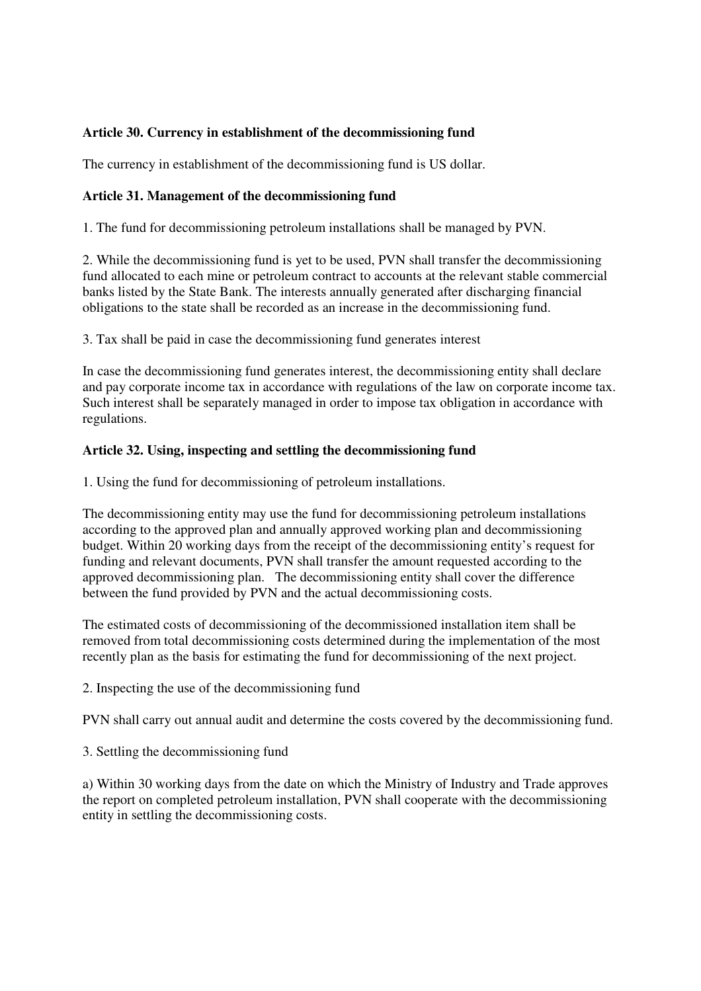# **Article 30. Currency in establishment of the decommissioning fund**

The currency in establishment of the decommissioning fund is US dollar.

## **Article 31. Management of the decommissioning fund**

1. The fund for decommissioning petroleum installations shall be managed by PVN.

2. While the decommissioning fund is yet to be used, PVN shall transfer the decommissioning fund allocated to each mine or petroleum contract to accounts at the relevant stable commercial banks listed by the State Bank. The interests annually generated after discharging financial obligations to the state shall be recorded as an increase in the decommissioning fund.

3. Tax shall be paid in case the decommissioning fund generates interest

In case the decommissioning fund generates interest, the decommissioning entity shall declare and pay corporate income tax in accordance with regulations of the law on corporate income tax. Such interest shall be separately managed in order to impose tax obligation in accordance with regulations.

## **Article 32. Using, inspecting and settling the decommissioning fund**

1. Using the fund for decommissioning of petroleum installations.

The decommissioning entity may use the fund for decommissioning petroleum installations according to the approved plan and annually approved working plan and decommissioning budget. Within 20 working days from the receipt of the decommissioning entity's request for funding and relevant documents, PVN shall transfer the amount requested according to the approved decommissioning plan. The decommissioning entity shall cover the difference between the fund provided by PVN and the actual decommissioning costs.

The estimated costs of decommissioning of the decommissioned installation item shall be removed from total decommissioning costs determined during the implementation of the most recently plan as the basis for estimating the fund for decommissioning of the next project.

2. Inspecting the use of the decommissioning fund

PVN shall carry out annual audit and determine the costs covered by the decommissioning fund.

3. Settling the decommissioning fund

a) Within 30 working days from the date on which the Ministry of Industry and Trade approves the report on completed petroleum installation, PVN shall cooperate with the decommissioning entity in settling the decommissioning costs.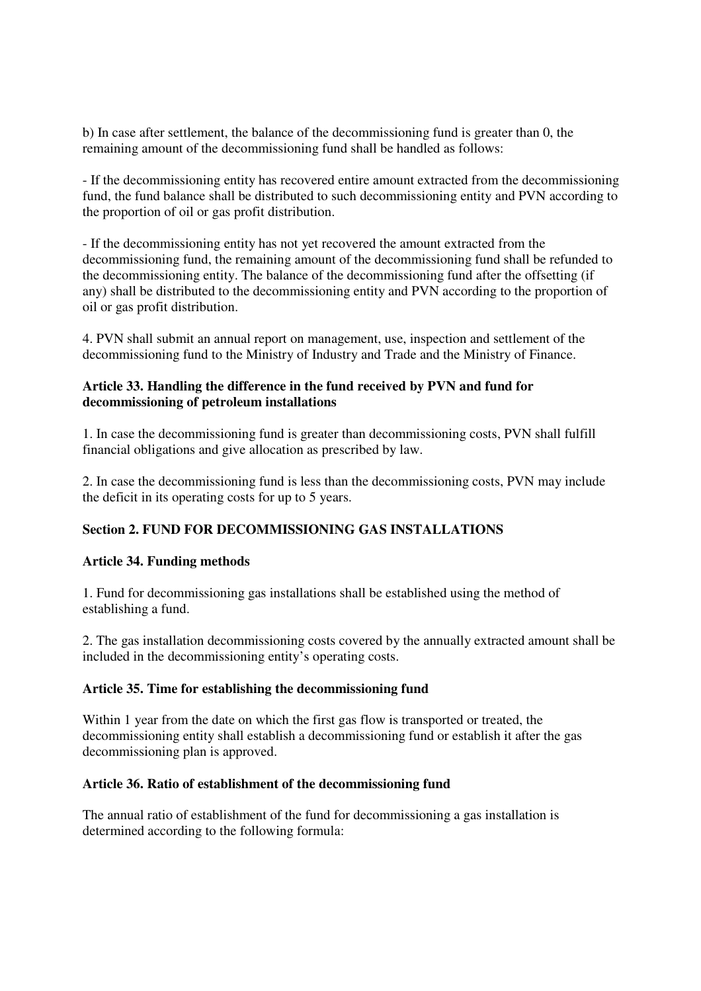b) In case after settlement, the balance of the decommissioning fund is greater than 0, the remaining amount of the decommissioning fund shall be handled as follows:

- If the decommissioning entity has recovered entire amount extracted from the decommissioning fund, the fund balance shall be distributed to such decommissioning entity and PVN according to the proportion of oil or gas profit distribution.

- If the decommissioning entity has not yet recovered the amount extracted from the decommissioning fund, the remaining amount of the decommissioning fund shall be refunded to the decommissioning entity. The balance of the decommissioning fund after the offsetting (if any) shall be distributed to the decommissioning entity and PVN according to the proportion of oil or gas profit distribution.

4. PVN shall submit an annual report on management, use, inspection and settlement of the decommissioning fund to the Ministry of Industry and Trade and the Ministry of Finance.

## **Article 33. Handling the difference in the fund received by PVN and fund for decommissioning of petroleum installations**

1. In case the decommissioning fund is greater than decommissioning costs, PVN shall fulfill financial obligations and give allocation as prescribed by law.

2. In case the decommissioning fund is less than the decommissioning costs, PVN may include the deficit in its operating costs for up to 5 years.

# **Section 2. FUND FOR DECOMMISSIONING GAS INSTALLATIONS**

## **Article 34. Funding methods**

1. Fund for decommissioning gas installations shall be established using the method of establishing a fund.

2. The gas installation decommissioning costs covered by the annually extracted amount shall be included in the decommissioning entity's operating costs.

## **Article 35. Time for establishing the decommissioning fund**

Within 1 year from the date on which the first gas flow is transported or treated, the decommissioning entity shall establish a decommissioning fund or establish it after the gas decommissioning plan is approved.

## **Article 36. Ratio of establishment of the decommissioning fund**

The annual ratio of establishment of the fund for decommissioning a gas installation is determined according to the following formula: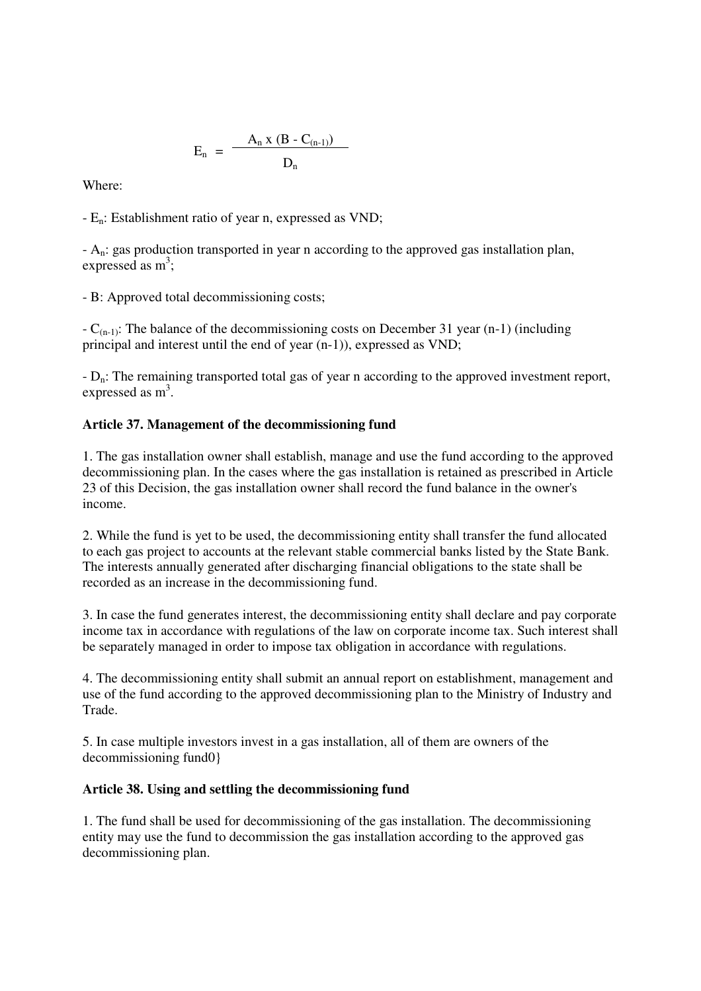$$
E_n = \frac{A_n x (B - C_{(n-1)})}{D_n}
$$

Where:

- En: Establishment ratio of year n, expressed as VND;

- An: gas production transported in year n according to the approved gas installation plan, expressed as  $m^3$ ;

- B: Approved total decommissioning costs;

 $-C_{(n-1)}$ : The balance of the decommissioning costs on December 31 year (n-1) (including principal and interest until the end of year (n-1)), expressed as VND;

 $-D_n$ : The remaining transported total gas of year n according to the approved investment report, expressed as  $m^3$ .

# **Article 37. Management of the decommissioning fund**

1. The gas installation owner shall establish, manage and use the fund according to the approved decommissioning plan. In the cases where the gas installation is retained as prescribed in Article 23 of this Decision, the gas installation owner shall record the fund balance in the owner's income.

2. While the fund is yet to be used, the decommissioning entity shall transfer the fund allocated to each gas project to accounts at the relevant stable commercial banks listed by the State Bank. The interests annually generated after discharging financial obligations to the state shall be recorded as an increase in the decommissioning fund.

3. In case the fund generates interest, the decommissioning entity shall declare and pay corporate income tax in accordance with regulations of the law on corporate income tax. Such interest shall be separately managed in order to impose tax obligation in accordance with regulations.

4. The decommissioning entity shall submit an annual report on establishment, management and use of the fund according to the approved decommissioning plan to the Ministry of Industry and Trade.

5. In case multiple investors invest in a gas installation, all of them are owners of the decommissioning fund0}

## **Article 38. Using and settling the decommissioning fund**

1. The fund shall be used for decommissioning of the gas installation. The decommissioning entity may use the fund to decommission the gas installation according to the approved gas decommissioning plan.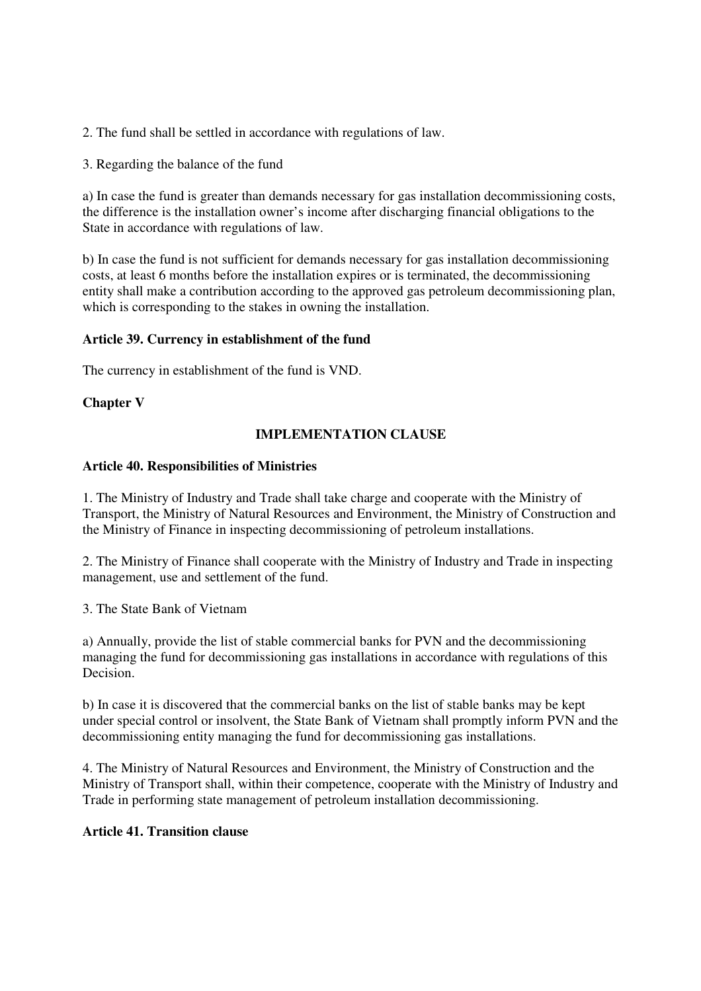2. The fund shall be settled in accordance with regulations of law.

3. Regarding the balance of the fund

a) In case the fund is greater than demands necessary for gas installation decommissioning costs, the difference is the installation owner's income after discharging financial obligations to the State in accordance with regulations of law.

b) In case the fund is not sufficient for demands necessary for gas installation decommissioning costs, at least 6 months before the installation expires or is terminated, the decommissioning entity shall make a contribution according to the approved gas petroleum decommissioning plan, which is corresponding to the stakes in owning the installation.

## **Article 39. Currency in establishment of the fund**

The currency in establishment of the fund is VND.

## **Chapter V**

## **IMPLEMENTATION CLAUSE**

### **Article 40. Responsibilities of Ministries**

1. The Ministry of Industry and Trade shall take charge and cooperate with the Ministry of Transport, the Ministry of Natural Resources and Environment, the Ministry of Construction and the Ministry of Finance in inspecting decommissioning of petroleum installations.

2. The Ministry of Finance shall cooperate with the Ministry of Industry and Trade in inspecting management, use and settlement of the fund.

3. The State Bank of Vietnam

a) Annually, provide the list of stable commercial banks for PVN and the decommissioning managing the fund for decommissioning gas installations in accordance with regulations of this Decision<sup>1</sup>

b) In case it is discovered that the commercial banks on the list of stable banks may be kept under special control or insolvent, the State Bank of Vietnam shall promptly inform PVN and the decommissioning entity managing the fund for decommissioning gas installations.

4. The Ministry of Natural Resources and Environment, the Ministry of Construction and the Ministry of Transport shall, within their competence, cooperate with the Ministry of Industry and Trade in performing state management of petroleum installation decommissioning.

# **Article 41. Transition clause**